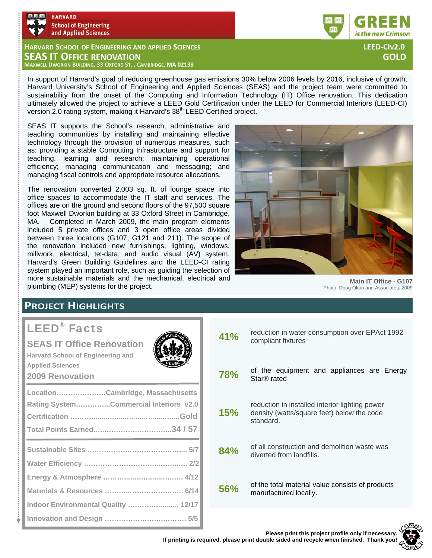

**HARVARD SCHOOL OF ENGINEERING AND APPLIED SCIENCES LEED‐CIV2.0 SEAS IT OFFICE RENOVATION GOLD MAXWELL DWORKIN BUILDING, 33 OXFORD ST. , CAMBRIDGE, MA 02138**

In support of Harvard's goal of reducing greenhouse gas emissions 30% below 2006 levels by 2016, inclusive of growth, Harvard University's School of Engineering and Applied Sciences (SEAS) and the project team were committed to sustainability from the onset of the Computing and Information Technology (IT) Office renovation. This dedication ultimately allowed the project to achieve a LEED Gold Certification under the LEED for Commercial Interiors (LEED-CI) version 2.0 rating system, making it Harvard's 38<sup>th</sup> LEED Certified project.

SEAS IT supports the School's research, administrative and teaching communities by installing and maintaining effective technology through the provision of numerous measures, such as: providing a stable Computing Infrastructure and support for teaching, learning and research; maintaining operational efficiency; managing communication and messaging; and managing fiscal controls and appropriate resource allocations.

The renovation converted 2,003 sq. ft. of lounge space into office spaces to accommodate the IT staff and services. The offices are on the ground and second floors of the 97,500 square foot Maxwell Dworkin building at 33 Oxford Street in Cambridge, MA. Completed in March 2009, the main program elements included 5 private offices and 3 open office areas divided between three locations (G107, G121 and 211). The scope of the renovation included new furnishings, lighting, windows, millwork, electrical, tel-data, and audio visual (AV) system. Harvard's Green Building Guidelines and the LEED-CI rating system played an important role, such as guiding the selection of more sustainable materials and the mechanical, electrical and plumbing (MEP) systems for the project.



**Main IT Office - G107**  Photo: Doug Okun and Associates, 2009

## **PROJECT HIGHLIGHTS**

# LEED® Facts

t

## **SEAS IT Office Renovation**

**Harvard School of Engineering and Applied Sciences 2009 Renovation** 

| $\sim$                                 |
|----------------------------------------|
| LocationCambridge, Massachusetts       |
| Rating SystemCommercial Interiors v2.0 |
|                                        |
|                                        |
|                                        |
|                                        |
|                                        |
|                                        |
| Indoor Environmental Quality  12/17    |
|                                        |

| 41% | reduction in water consumption over EPAct 1992<br>compliant fixtures                                      |  |  |  |
|-----|-----------------------------------------------------------------------------------------------------------|--|--|--|
| 78% | of the equipment and appliances are Energy<br>Star <sup>®</sup> rated                                     |  |  |  |
| 15% | reduction in installed interior lighting power<br>density (watts/square feet) below the code<br>standard. |  |  |  |
| 84% | of all construction and demolition waste was<br>diverted from landfills.                                  |  |  |  |
| 56% | of the total material value consists of products<br>manufactured locally.                                 |  |  |  |
|     |                                                                                                           |  |  |  |





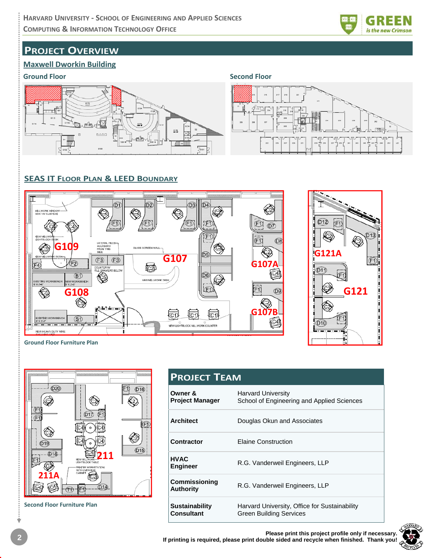

## **PROJECT OVERVIEW**

#### **Maxwell Dworkin Building**

#### **Ground Floor Second Floor**





### **SEAS IT FLOOR PLAN & LEED BOUNDARY**



**Ground Floor Furniture Plan**



**Second Floor Furniture Plan**

| <b>PROJECT TEAM</b>                        |                                                                          |  |  |
|--------------------------------------------|--------------------------------------------------------------------------|--|--|
| Owner &<br><b>Project Manager</b>          | <b>Harvard University</b><br>School of Engineering and Applied Sciences  |  |  |
| <b>Architect</b>                           | Douglas Okun and Associates                                              |  |  |
| Contractor                                 | <b>Elaine Construction</b>                                               |  |  |
| <b>HVAC</b><br><b>Engineer</b>             | R.G. Vanderweil Engineers, LLP                                           |  |  |
| <b>Commissioning</b><br><b>Authority</b>   | R.G. Vanderweil Engineers, LLP                                           |  |  |
| <b>Sustainability</b><br><b>Consultant</b> | Harvard University, Office for Sustainability<br>Green Building Services |  |  |

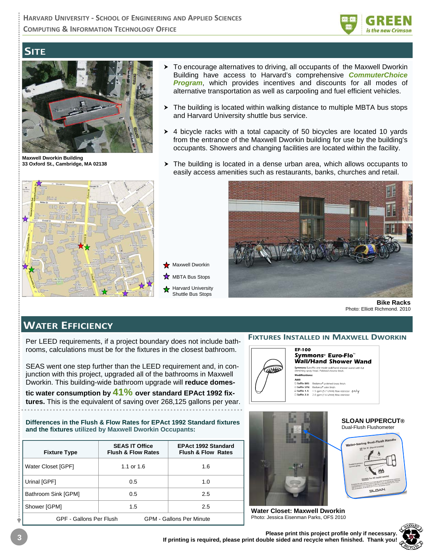

## **SITE**



**Maxwell Dworkin Building 33 Oxford St., Cambridge, MA 02138** 



- $\triangleright$  To encourage alternatives to driving, all occupants of the Maxwell Dworkin Building have access to Harvard's comprehensive *CommuterChoice* **Program**, which provides incentives and discounts for all modes of alternative transportation as well as carpooling and fuel efficient vehicles.
- $\triangleright$  The building is located within walking distance to multiple MBTA bus stops and Harvard University shuttle bus service.
- $\rightarrow$  4 bicycle racks with a total capacity of 50 bicycles are located 10 yards from the entrance of the Maxwell Dworkin building for use by the building's occupants. Showers and changing facilities are located within the facility.
- $\triangleright$  The building is located in a dense urban area, which allows occupants to easily access amenities such as restaurants, banks, churches and retail.



**Bike Racks**  Photo: Elliott Richmond. 2010

## **WATER EFFICIENCY**

Per LEED requirements, if a project boundary does not include bathrooms, calculations must be for the fixtures in the closest bathroom.

**Maxwell Dworkin** MBTA Bus Stops Harvard University Shuttle Bus Stops

SEAS went one step further than the LEED requirement and, in conjunction with this project, upgraded all of the bathrooms in Maxwell Dworkin. This building-wide bathroom upgrade will **reduce domes-**

**tic water consumption by 41% over standard EPAct 1992 fixtures.** This is the equivalent of saving over 268,125 gallons per year.

**Differences in the Flush & Flow Rates for EPAct 1992 Standard fixtures and the fixtures utilized by Maxwell Dworkin Occupants:** 

| <b>Fixture Type</b>                                        | <b>SEAS IT Office</b><br><b>Flush &amp; Flow Rates</b> | <b>EPAct 1992 Standard</b><br><b>Flush &amp; Flow Rates</b> |  |
|------------------------------------------------------------|--------------------------------------------------------|-------------------------------------------------------------|--|
| Water Closet [GPF]                                         | 1.1 or $1.6$                                           | 1.6                                                         |  |
| Urinal [GPF]                                               | 0.5                                                    | 1.0                                                         |  |
| Bathroom Sink [GPM]                                        | 0.5                                                    | 2.5                                                         |  |
| Shower [GPM]                                               | 1.5                                                    | 2.5                                                         |  |
| GPF - Gallons Per Flush<br><b>GPM - Gallons Per Minute</b> |                                                        |                                                             |  |

#### **FIXTURES INSTALLED IN MAXWELL DWORKIN**





Dual-Flush Flushometer  $= \Box \triangle \Gamma$ 

**SLOAN UPPERCUT®** 

**Water Closet: Maxwell Dworkin**  Photo: Jessica Eisenman Parks, OFS 2010

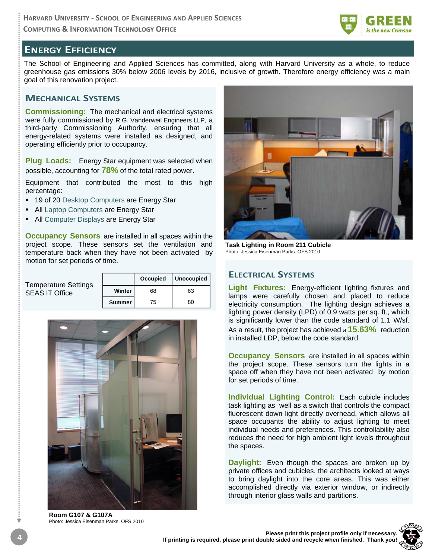

## **ENERGY EFFICIENCY**

The School of Engineering and Applied Sciences has committed, along with Harvard University as a whole, to reduce greenhouse gas emissions 30% below 2006 levels by 2016, inclusive of growth. Therefore energy efficiency was a main goal of this renovation project.

#### **MECHANICAL SYSTEMS**

**Commissioning:** The mechanical and electrical systems were fully commissioned by R.G. Vanderweil Engineers LLP, a third-party Commissioning Authority, ensuring that all energy-related systems were installed as designed, and operating efficiently prior to occupancy.

**Plug Loads:** Energy Star equipment was selected when possible, accounting for **78%** of the total rated power.

Equipment that contributed the most to this high percentage:

- 19 of 20 Desktop Computers are Energy Star
- **All Laptop Computers are Energy Star**
- All Computer Displays are Energy Star

**Occupancy Sensors** are installed in all spaces within the project scope. These sensors set the ventilation and temperature back when they have not been activated by motion for set periods of time.

| <b>Temperature Settings</b> |               | <b>Occupied</b> | <b>Unoccupied</b> |
|-----------------------------|---------------|-----------------|-------------------|
| <b>SEAS IT Office</b>       | Winter        | 68              | 63                |
|                             | <b>Summer</b> | 75              | 80                |



**Room G107 & G107A**  Photo: Jessica Eisenman Parks. OFS 2010



**Task Lighting in Room 211 Cubicle**  Photo: Jessica Eisenman Parks. OFS 2010

#### **ELECTRICAL SYSTEMS**

**Light Fixtures:** Energy-efficient lighting fixtures and lamps were carefully chosen and placed to reduce electricity consumption. The lighting design achieves a lighting power density (LPD) of 0.9 watts per sq. ft., which is significantly lower than the code standard of 1.1 W/sf. As a result, the project has achieved a **15.63%** reduction in installed LDP, below the code standard.

**Occupancy Sensors** are installed in all spaces within the project scope. These sensors turn the lights in a space off when they have not been activated by motion for set periods of time.

**Individual Lighting Control:** Each cubicle includes task lighting as well as a switch that controls the compact fluorescent down light directly overhead, which allows all space occupants the ability to adjust lighting to meet individual needs and preferences. This controllability also reduces the need for high ambient light levels throughout the spaces.

**Daylight:** Even though the spaces are broken up by private offices and cubicles, the architects looked at ways to bring daylight into the core areas. This was either accomplished directly via exterior window, or indirectly through interior glass walls and partitions.

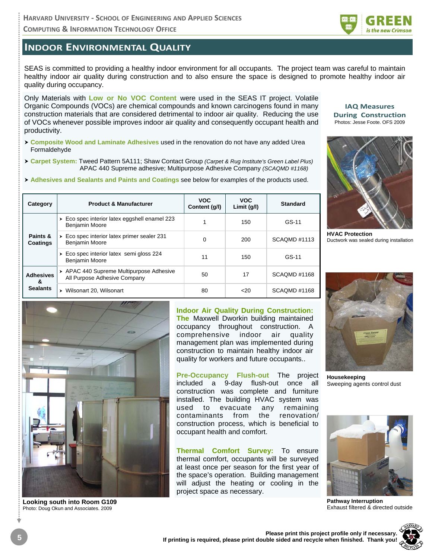**COMPUTING & INFORMATION TECHNOLOGY OFFICE**

## **INDOOR ENVIRONMENTAL QUALITY**

SEAS is committed to providing a healthy indoor environment for all occupants. The project team was careful to maintain healthy indoor air quality during construction and to also ensure the space is designed to promote healthy indoor air quality during occupancy.

Only Materials with **Low or No VOC Content** were used in the SEAS IT project. Volatile Organic Compounds (VOCs) are chemical compounds and known carcinogens found in many construction materials that are considered detrimental to indoor air quality. Reducing the use of VOCs whenever possible improves indoor air quality and consequently occupant health and productivity.

- h **Composite Wood and Laminate Adhesives** used in the renovation do not have any added Urea Formaldehyde
- h **Carpet System:** Tweed Pattern 5A111; Shaw Contact Group *(Carpet & Rug Institute's Green Label Plus)* APAC 440 Supreme adhesive; Multipurpose Adhesive Company *(SCAQMD #1168)*
- **Adhesives and Sealants and Paints and Coatings see below for examples of the products used.**

| Category                                 | <b>Product &amp; Manufacturer</b>                                         | <b>VOC</b><br>Content (g/l) | <b>VOC</b><br>Limit $(q/l)$ | <b>Standard</b> |
|------------------------------------------|---------------------------------------------------------------------------|-----------------------------|-----------------------------|-----------------|
| Paints &<br>Coatings                     | Eco spec interior latex eggshell enamel 223<br>➤<br><b>Benjamin Moore</b> |                             | 150                         | GS-11           |
|                                          | Eco spec interior latex primer sealer 231<br>➤<br>Benjamin Moore          | 0                           | 200                         | SCAOMD#1113     |
|                                          | Eco spec interior latex semi gloss 224<br>▶<br>Benjamin Moore             | 11                          | 150                         | GS-11           |
| <b>Adhesives</b><br>&<br><b>Sealants</b> | APAC 440 Supreme Multipurpose Adhesive<br>All Purpose Adhesive Company    | 50                          | 17                          | SCAOMD#1168     |
|                                          | Wilsonart 20, Wilsonart                                                   | 80                          | 20                          | SCAOMD#1168     |



is the new Crimson



**HVAC Protection**  Ductwork was sealed during installation



**Looking south into Room G109**  Photo: Doug Okun and Associates. 2009

**Indoor Air Quality During Construction:** 

**The** Maxwell Dworkin building maintained occupancy throughout construction. A comprehensive indoor air quality management plan was implemented during construction to maintain healthy indoor air quality for workers and future occupants..

**Pre-Occupancy Flush-out** The project included a 9-day flush-out once all construction was complete and furniture installed. The building HVAC system was used to evacuate any remaining contaminants from the renovation/ construction process, which is beneficial to occupant health and comfort.

**Thermal Comfort Survey:** To ensure thermal comfort, occupants will be surveyed at least once per season for the first year of the space's operation. Building management will adjust the heating or cooling in the project space as necessary.



**Housekeeping**  Sweeping agents control dust



**Pathway Interruption**  Exhaust filtered & directed outside